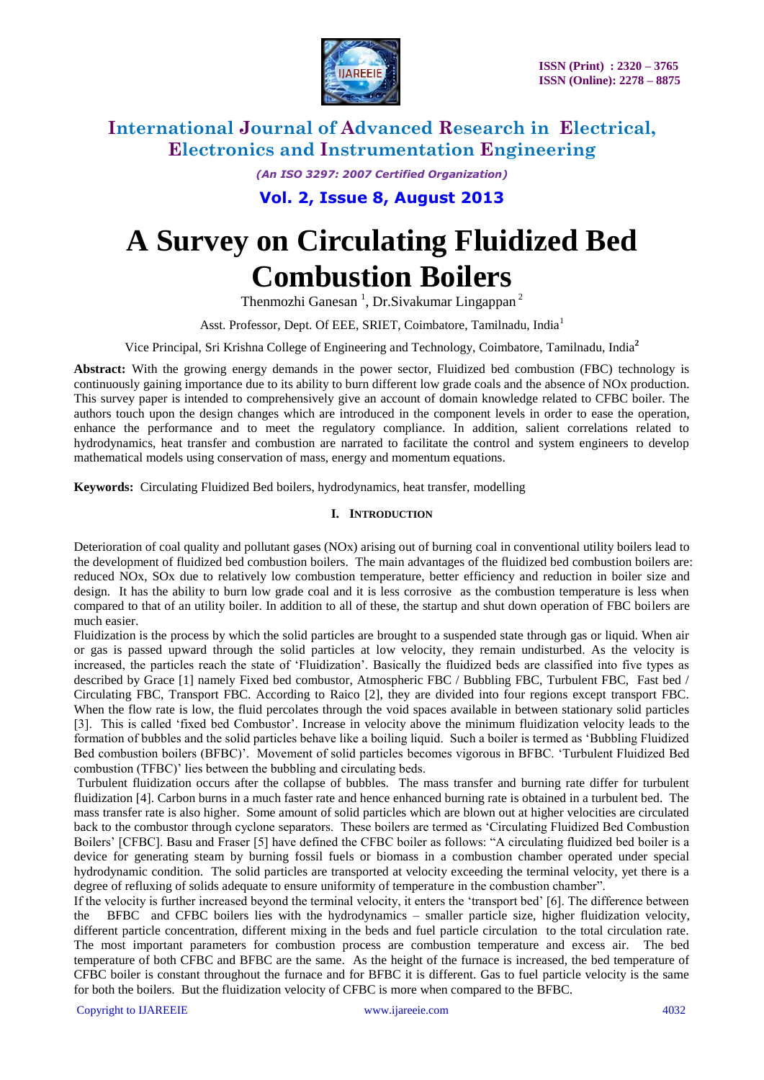

*(An ISO 3297: 2007 Certified Organization)*

**Vol. 2, Issue 8, August 2013**

# **A Survey on Circulating Fluidized Bed Combustion Boilers**

Thenmozhi Ganesan<sup>1</sup>, Dr.Sivakumar Lingappan<sup>2</sup>

Asst. Professor, Dept. Of EEE, SRIET, Coimbatore, Tamilnadu, India<sup>1</sup>

Vice Principal, Sri Krishna College of Engineering and Technology, Coimbatore, Tamilnadu, India**<sup>2</sup>**

**Abstract:** With the growing energy demands in the power sector, Fluidized bed combustion (FBC) technology is continuously gaining importance due to its ability to burn different low grade coals and the absence of NOx production. This survey paper is intended to comprehensively give an account of domain knowledge related to CFBC boiler. The authors touch upon the design changes which are introduced in the component levels in order to ease the operation, enhance the performance and to meet the regulatory compliance. In addition, salient correlations related to hydrodynamics, heat transfer and combustion are narrated to facilitate the control and system engineers to develop mathematical models using conservation of mass, energy and momentum equations.

**Keywords:** Circulating Fluidized Bed boilers, hydrodynamics, heat transfer, modelling

### **I. INTRODUCTION**

Deterioration of coal quality and pollutant gases ( $NOx$ ) arising out of burning coal in conventional utility boilers lead to the development of fluidized bed combustion boilers. The main advantages of the fluidized bed combustion boilers are: reduced NOx, SOx due to relatively low combustion temperature, better efficiency and reduction in boiler size and design. It has the ability to burn low grade coal and it is less corrosive as the combustion temperature is less when compared to that of an utility boiler. In addition to all of these, the startup and shut down operation of FBC boilers are much easier.

Fluidization is the process by which the solid particles are brought to a suspended state through gas or liquid. When air or gas is passed upward through the solid particles at low velocity, they remain undisturbed. As the velocity is increased, the particles reach the state of "Fluidization". Basically the fluidized beds are classified into five types as described by Grace [1] namely Fixed bed combustor, Atmospheric FBC / Bubbling FBC, Turbulent FBC, Fast bed / Circulating FBC, Transport FBC. According to Raico [2], they are divided into four regions except transport FBC. When the flow rate is low, the fluid percolates through the void spaces available in between stationary solid particles [3]. This is called "fixed bed Combustor". Increase in velocity above the minimum fluidization velocity leads to the formation of bubbles and the solid particles behave like a boiling liquid. Such a boiler is termed as "Bubbling Fluidized Bed combustion boilers (BFBC)". Movement of solid particles becomes vigorous in BFBC. "Turbulent Fluidized Bed combustion (TFBC)' lies between the bubbling and circulating beds.

Turbulent fluidization occurs after the collapse of bubbles. The mass transfer and burning rate differ for turbulent fluidization [4]. Carbon burns in a much faster rate and hence enhanced burning rate is obtained in a turbulent bed. The mass transfer rate is also higher. Some amount of solid particles which are blown out at higher velocities are circulated back to the combustor through cyclone separators. These boilers are termed as "Circulating Fluidized Bed Combustion Boilers" [CFBC]. Basu and Fraser [5] have defined the CFBC boiler as follows: "A circulating fluidized bed boiler is a device for generating steam by burning fossil fuels or biomass in a combustion chamber operated under special hydrodynamic condition. The solid particles are transported at velocity exceeding the terminal velocity, yet there is a degree of refluxing of solids adequate to ensure uniformity of temperature in the combustion chamber".

If the velocity is further increased beyond the terminal velocity, it enters the "transport bed" [6]. The difference between the BFBC and CFBC boilers lies with the hydrodynamics – smaller particle size, higher fluidization velocity, different particle concentration, different mixing in the beds and fuel particle circulation to the total circulation rate. The most important parameters for combustion process are combustion temperature and excess air. The bed temperature of both CFBC and BFBC are the same. As the height of the furnace is increased, the bed temperature of CFBC boiler is constant throughout the furnace and for BFBC it is different. Gas to fuel particle velocity is the same for both the boilers. But the fluidization velocity of CFBC is more when compared to the BFBC.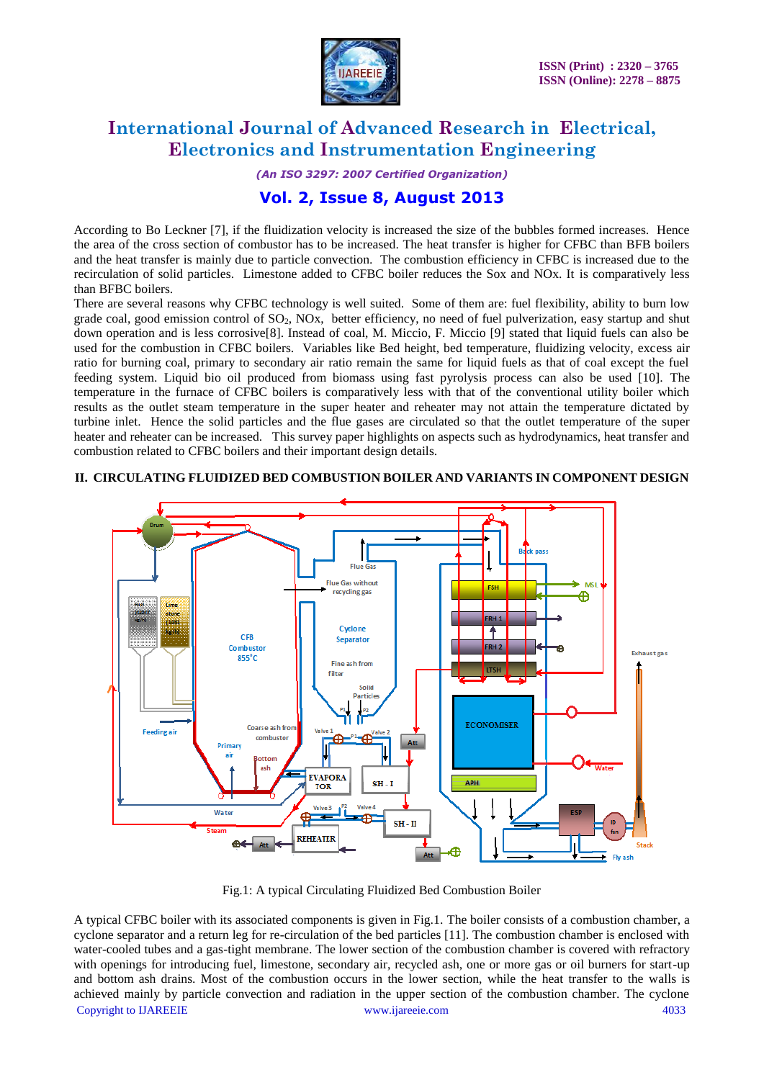

*(An ISO 3297: 2007 Certified Organization)*

### **Vol. 2, Issue 8, August 2013**

According to Bo Leckner [7], if the fluidization velocity is increased the size of the bubbles formed increases. Hence the area of the cross section of combustor has to be increased. The heat transfer is higher for CFBC than BFB boilers and the heat transfer is mainly due to particle convection. The combustion efficiency in CFBC is increased due to the recirculation of solid particles. Limestone added to CFBC boiler reduces the Sox and NOx. It is comparatively less than BFBC boilers.

There are several reasons why CFBC technology is well suited. Some of them are: fuel flexibility, ability to burn low grade coal, good emission control of  $SO_2$ , NOx, better efficiency, no need of fuel pulverization, easy startup and shut down operation and is less corrosive[8]. Instead of coal, M. Miccio, F. Miccio [9] stated that liquid fuels can also be used for the combustion in CFBC boilers. Variables like Bed height, bed temperature, fluidizing velocity, excess air ratio for burning coal, primary to secondary air ratio remain the same for liquid fuels as that of coal except the fuel feeding system. Liquid bio oil produced from biomass using fast pyrolysis process can also be used [10]. The temperature in the furnace of CFBC boilers is comparatively less with that of the conventional utility boiler which results as the outlet steam temperature in the super heater and reheater may not attain the temperature dictated by turbine inlet. Hence the solid particles and the flue gases are circulated so that the outlet temperature of the super heater and reheater can be increased. This survey paper highlights on aspects such as hydrodynamics, heat transfer and combustion related to CFBC boilers and their important design details.



#### **II. CIRCULATING FLUIDIZED BED COMBUSTION BOILER AND VARIANTS IN COMPONENT DESIGN**

Fig.1: A typical Circulating Fluidized Bed Combustion Boiler

Copyright to IJAREEIE [www.ijareeie.com](http://www.ijareeie.com/) 4033 A typical CFBC boiler with its associated components is given in Fig.1. The boiler consists of a combustion chamber, a cyclone separator and a return leg for re-circulation of the bed particles [11]. The combustion chamber is enclosed with water-cooled tubes and a gas-tight membrane. The lower section of the combustion chamber is covered with refractory with openings for introducing fuel, limestone, secondary air, recycled ash, one or more gas or oil burners for start-up and bottom ash drains. Most of the combustion occurs in the lower section, while the heat transfer to the walls is achieved mainly by particle convection and radiation in the upper section of the combustion chamber. The cyclone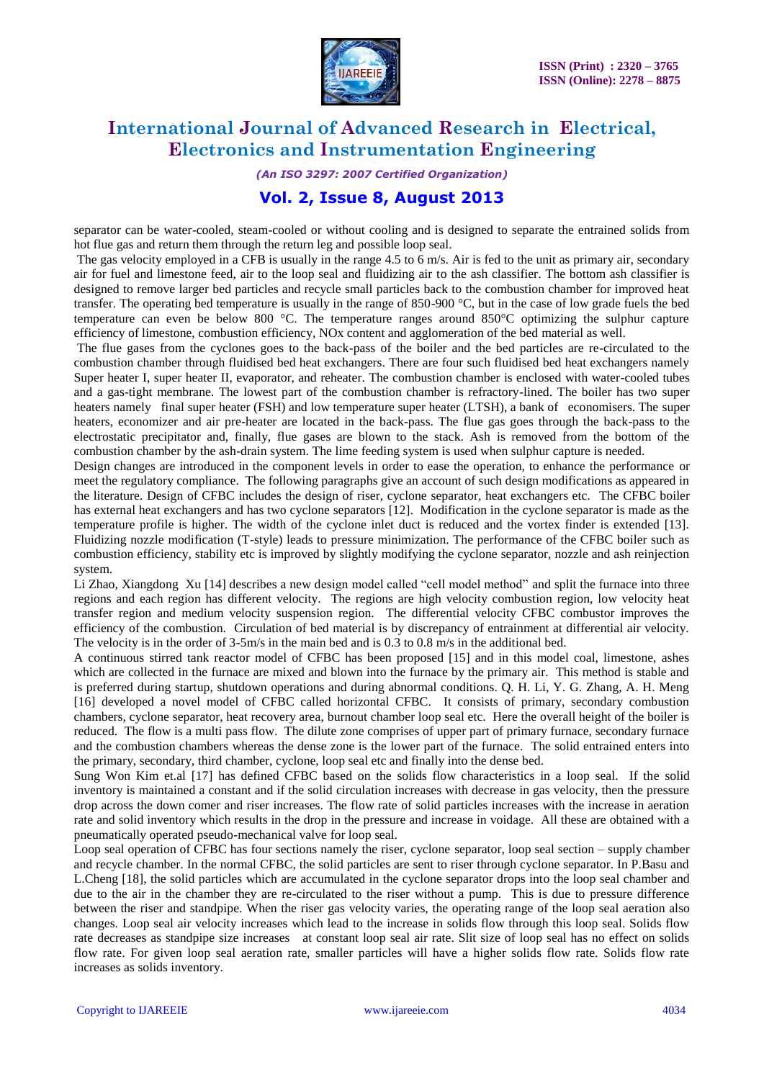

*(An ISO 3297: 2007 Certified Organization)*

### **Vol. 2, Issue 8, August 2013**

separator can be water-cooled, steam-cooled or without cooling and is designed to separate the entrained solids from hot flue gas and return them through the return leg and possible loop seal.

The gas velocity employed in a CFB is usually in the range 4.5 to 6 m/s. Air is fed to the unit as primary air, secondary air for fuel and limestone feed, air to the loop seal and fluidizing air to the ash classifier. The bottom ash classifier is designed to remove larger bed particles and recycle small particles back to the combustion chamber for improved heat transfer. The operating bed temperature is usually in the range of 850-900 °C, but in the case of low grade fuels the bed temperature can even be below 800  $^{\circ}$ C. The temperature ranges around 850 $^{\circ}$ C optimizing the sulphur capture efficiency of limestone, combustion efficiency, NOx content and agglomeration of the bed material as well.

The flue gases from the cyclones goes to the back-pass of the boiler and the bed particles are re-circulated to the combustion chamber through fluidised bed heat exchangers. There are four such fluidised bed heat exchangers namely Super heater I, super heater II, evaporator, and reheater. The combustion chamber is enclosed with water-cooled tubes and a gas-tight membrane. The lowest part of the combustion chamber is refractory-lined. The boiler has two super heaters namely final super heater (FSH) and low temperature super heater (LTSH), a bank of economisers. The super heaters, economizer and air pre-heater are located in the back-pass. The flue gas goes through the back-pass to the electrostatic precipitator and, finally, flue gases are blown to the stack. Ash is removed from the bottom of the combustion chamber by the ash-drain system. The lime feeding system is used when sulphur capture is needed.

Design changes are introduced in the component levels in order to ease the operation, to enhance the performance or meet the regulatory compliance. The following paragraphs give an account of such design modifications as appeared in the literature. Design of CFBC includes the design of riser, cyclone separator, heat exchangers etc. The CFBC boiler has external heat exchangers and has two cyclone separators [12]. Modification in the cyclone separator is made as the temperature profile is higher. The width of the cyclone inlet duct is reduced and the vortex finder is extended [13]. Fluidizing nozzle modification (T-style) leads to pressure minimization. The performance of the CFBC boiler such as combustion efficiency, stability etc is improved by slightly modifying the cyclone separator, nozzle and ash reinjection system.

Li Zhao, Xiangdong Xu [14] describes a new design model called "cell model method" and split the furnace into three regions and each region has different velocity. The regions are high velocity combustion region, low velocity heat transfer region and medium velocity suspension region. The differential velocity CFBC combustor improves the efficiency of the combustion. Circulation of bed material is by discrepancy of entrainment at differential air velocity. The velocity is in the order of 3-5m/s in the main bed and is 0.3 to 0.8 m/s in the additional bed.

A continuous stirred tank reactor model of CFBC has been proposed [15] and in this model coal, limestone, ashes which are collected in the furnace are mixed and blown into the furnace by the primary air. This method is stable and is preferred during startup, shutdown operations and during abnormal conditions. Q. H. Li, Y. G. Zhang, A. H. Meng [16] developed a novel model of CFBC called horizontal CFBC. It consists of primary, secondary combustion chambers, cyclone separator, heat recovery area, burnout chamber loop seal etc. Here the overall height of the boiler is reduced. The flow is a multi pass flow. The dilute zone comprises of upper part of primary furnace, secondary furnace and the combustion chambers whereas the dense zone is the lower part of the furnace. The solid entrained enters into the primary, secondary, third chamber, cyclone, loop seal etc and finally into the dense bed.

Sung Won Kim et.al [17] has defined CFBC based on the solids flow characteristics in a loop seal. If the solid inventory is maintained a constant and if the solid circulation increases with decrease in gas velocity, then the pressure drop across the down comer and riser increases. The flow rate of solid particles increases with the increase in aeration rate and solid inventory which results in the drop in the pressure and increase in voidage. All these are obtained with a pneumatically operated pseudo-mechanical valve for loop seal.

Loop seal operation of CFBC has four sections namely the riser, cyclone separator, loop seal section – supply chamber and recycle chamber. In the normal CFBC, the solid particles are sent to riser through cyclone separator. In P.Basu and L.Cheng [18], the solid particles which are accumulated in the cyclone separator drops into the loop seal chamber and due to the air in the chamber they are re-circulated to the riser without a pump. This is due to pressure difference between the riser and standpipe. When the riser gas velocity varies, the operating range of the loop seal aeration also changes. Loop seal air velocity increases which lead to the increase in solids flow through this loop seal. Solids flow rate decreases as standpipe size increases at constant loop seal air rate. Slit size of loop seal has no effect on solids flow rate. For given loop seal aeration rate, smaller particles will have a higher solids flow rate. Solids flow rate increases as solids inventory.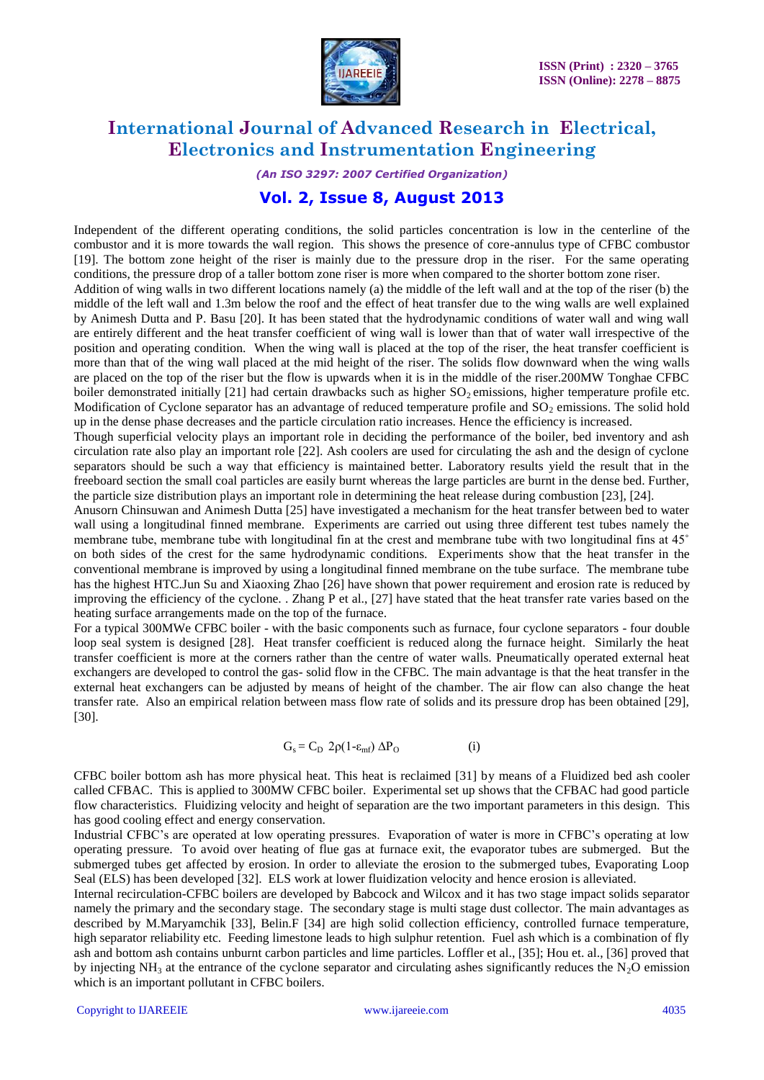

*(An ISO 3297: 2007 Certified Organization)*

### **Vol. 2, Issue 8, August 2013**

Independent of the different operating conditions, the solid particles concentration is low in the centerline of the combustor and it is more towards the wall region. This shows the presence of core-annulus type of CFBC combustor [19]. The bottom zone height of the riser is mainly due to the pressure drop in the riser. For the same operating conditions, the pressure drop of a taller bottom zone riser is more when compared to the shorter bottom zone riser.

Addition of wing walls in two different locations namely (a) the middle of the left wall and at the top of the riser (b) the middle of the left wall and 1.3m below the roof and the effect of heat transfer due to the wing walls are well explained by Animesh Dutta and P. Basu [20]. It has been stated that the hydrodynamic conditions of water wall and wing wall are entirely different and the heat transfer coefficient of wing wall is lower than that of water wall irrespective of the position and operating condition. When the wing wall is placed at the top of the riser, the heat transfer coefficient is more than that of the wing wall placed at the mid height of the riser. The solids flow downward when the wing walls are placed on the top of the riser but the flow is upwards when it is in the middle of the riser.200MW Tonghae CFBC boiler demonstrated initially  $[21]$  had certain drawbacks such as higher SO<sub>2</sub> emissions, higher temperature profile etc. Modification of Cyclone separator has an advantage of reduced temperature profile and  $SO_2$  emissions. The solid hold up in the dense phase decreases and the particle circulation ratio increases. Hence the efficiency is increased.

Though superficial velocity plays an important role in deciding the performance of the boiler, bed inventory and ash circulation rate also play an important role [22]. Ash coolers are used for circulating the ash and the design of cyclone separators should be such a way that efficiency is maintained better. Laboratory results yield the result that in the freeboard section the small coal particles are easily burnt whereas the large particles are burnt in the dense bed. Further, the particle size distribution plays an important role in determining the heat release during combustion [23], [24].

Anusorn Chinsuwan and Animesh Dutta [25] have investigated a mechanism for the heat transfer between bed to water wall using a longitudinal finned membrane. Experiments are carried out using three different test tubes namely the membrane tube, membrane tube with longitudinal fin at the crest and membrane tube with two longitudinal fins at 45˚ on both sides of the crest for the same hydrodynamic conditions. Experiments show that the heat transfer in the conventional membrane is improved by using a longitudinal finned membrane on the tube surface. The membrane tube has the highest HTC.Jun Su and Xiaoxing Zhao [26] have shown that power requirement and erosion rate is reduced by improving the efficiency of the cyclone. . Zhang P et al., [27] have stated that the heat transfer rate varies based on the heating surface arrangements made on the top of the furnace.

For a typical 300MWe CFBC boiler - with the basic components such as furnace, four cyclone separators - four double loop seal system is designed [28]. Heat transfer coefficient is reduced along the furnace height. Similarly the heat transfer coefficient is more at the corners rather than the centre of water walls. Pneumatically operated external heat exchangers are developed to control the gas- solid flow in the CFBC. The main advantage is that the heat transfer in the external heat exchangers can be adjusted by means of height of the chamber. The air flow can also change the heat transfer rate. Also an empirical relation between mass flow rate of solids and its pressure drop has been obtained [29], [30].

$$
G_s = C_D 2\rho (1 - \varepsilon_{mf}) \Delta P_O
$$
 (i)

CFBC boiler bottom ash has more physical heat. This heat is reclaimed [31] by means of a Fluidized bed ash cooler called CFBAC. This is applied to 300MW CFBC boiler. Experimental set up shows that the CFBAC had good particle flow characteristics. Fluidizing velocity and height of separation are the two important parameters in this design. This has good cooling effect and energy conservation.

Industrial CFBC's are operated at low operating pressures. Evaporation of water is more in CFBC's operating at low operating pressure. To avoid over heating of flue gas at furnace exit, the evaporator tubes are submerged. But the submerged tubes get affected by erosion. In order to alleviate the erosion to the submerged tubes, Evaporating Loop Seal (ELS) has been developed [32]. ELS work at lower fluidization velocity and hence erosion is alleviated.

Internal recirculation-CFBC boilers are developed by Babcock and Wilcox and it has two stage impact solids separator namely the primary and the secondary stage. The secondary stage is multi stage dust collector. The main advantages as described by M.Maryamchik [33], Belin.F [34] are high solid collection efficiency, controlled furnace temperature, high separator reliability etc. Feeding limestone leads to high sulphur retention. Fuel ash which is a combination of fly ash and bottom ash contains unburnt carbon particles and lime particles. Loffler et al., [35]; Hou et. al., [36] proved that by injecting  $NH_3$  at the entrance of the cyclone separator and circulating ashes significantly reduces the N<sub>2</sub>O emission which is an important pollutant in CFBC boilers.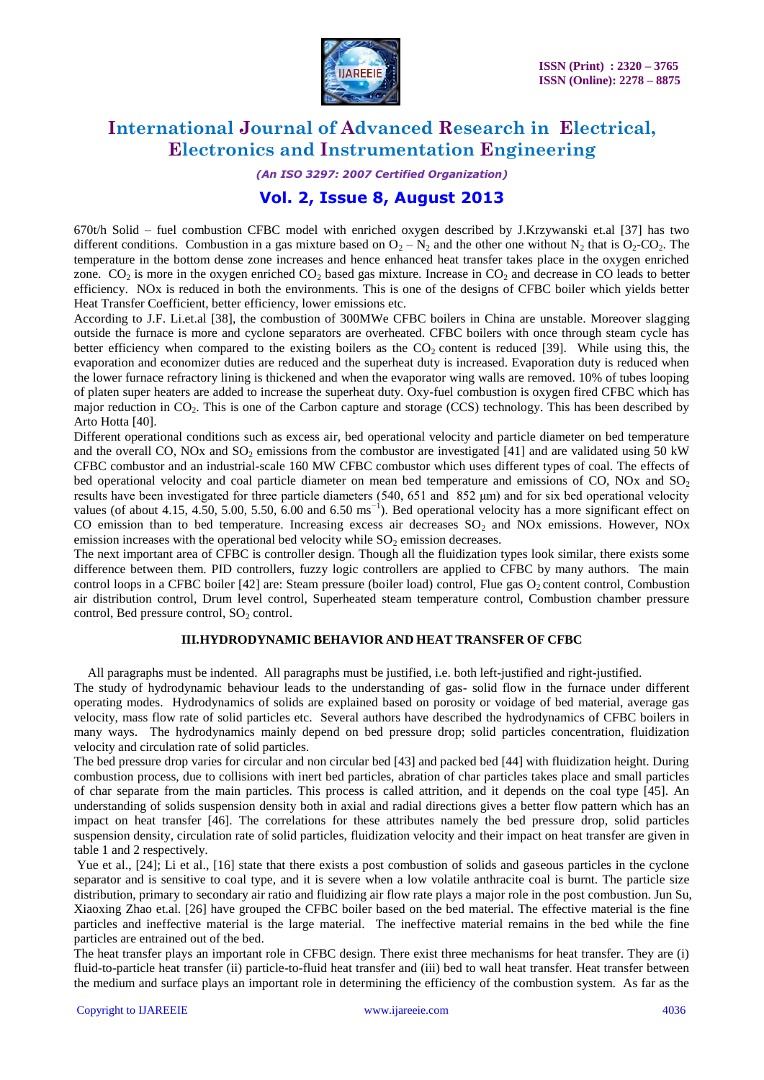

*(An ISO 3297: 2007 Certified Organization)*

### **Vol. 2, Issue 8, August 2013**

670t/h Solid – fuel combustion CFBC model with enriched oxygen described by J.Krzywanski et.al [37] has two different conditions. Combustion in a gas mixture based on  $O_2 - N_2$  and the other one without  $N_2$  that is  $O_2$ -CO<sub>2</sub>. The temperature in the bottom dense zone increases and hence enhanced heat transfer takes place in the oxygen enriched zone. CO<sub>2</sub> is more in the oxygen enriched CO<sub>2</sub> based gas mixture. Increase in CO<sub>2</sub> and decrease in CO leads to better efficiency. NOx is reduced in both the environments. This is one of the designs of CFBC boiler which yields better Heat Transfer Coefficient, better efficiency, lower emissions etc.

According to J.F. Li.et.al [38], the combustion of 300MWe CFBC boilers in China are unstable. Moreover slagging outside the furnace is more and cyclone separators are overheated. CFBC boilers with once through steam cycle has better efficiency when compared to the existing boilers as the  $CO<sub>2</sub>$  content is reduced [39]. While using this, the evaporation and economizer duties are reduced and the superheat duty is increased. Evaporation duty is reduced when the lower furnace refractory lining is thickened and when the evaporator wing walls are removed. 10% of tubes looping of platen super heaters are added to increase the superheat duty. Oxy-fuel combustion is oxygen fired CFBC which has major reduction in  $CO<sub>2</sub>$ . This is one of the Carbon capture and storage (CCS) technology. This has been described by Arto Hotta [40].

Different operational conditions such as excess air, bed operational velocity and particle diameter on bed temperature and the overall CO, NOx and  $SO_2$  emissions from the combustor are investigated [41] and are validated using 50 kW CFBC combustor and an industrial-scale 160 MW CFBC combustor which uses different types of coal. The effects of bed operational velocity and coal particle diameter on mean bed temperature and emissions of  $CO$ , NOx and  $SO<sub>2</sub>$ results have been investigated for three particle diameters (540, 651 and 852 μm) and for six bed operational velocity values (of about 4.15, 4.50, 5.00, 5.50, 6.00 and 6.50 ms<sup> $-1$ </sup>). Bed operational velocity has a more significant effect on CO emission than to bed temperature. Increasing excess air decreases  $SO<sub>2</sub>$  and NOx emissions. However, NOx emission increases with the operational bed velocity while  $SO<sub>2</sub>$  emission decreases.

The next important area of CFBC is controller design. Though all the fluidization types look similar, there exists some difference between them. PID controllers, fuzzy logic controllers are applied to CFBC by many authors. The main control loops in a CFBC boiler [42] are: Steam pressure (boiler load) control, Flue gas  $O_2$  content control, Combustion air distribution control, Drum level control, Superheated steam temperature control, Combustion chamber pressure control, Bed pressure control,  $SO<sub>2</sub>$  control.

#### **III.HYDRODYNAMIC BEHAVIOR AND HEAT TRANSFER OF CFBC**

All paragraphs must be indented. All paragraphs must be justified, i.e. both left-justified and right-justified.

The study of hydrodynamic behaviour leads to the understanding of gas- solid flow in the furnace under different operating modes. Hydrodynamics of solids are explained based on porosity or voidage of bed material, average gas velocity, mass flow rate of solid particles etc. Several authors have described the hydrodynamics of CFBC boilers in many ways. The hydrodynamics mainly depend on bed pressure drop; solid particles concentration, fluidization velocity and circulation rate of solid particles.

The bed pressure drop varies for circular and non circular bed [43] and packed bed [44] with fluidization height. During combustion process, due to collisions with inert bed particles, abration of char particles takes place and small particles of char separate from the main particles. This process is called attrition, and it depends on the coal type [45]. An understanding of solids suspension density both in axial and radial directions gives a better flow pattern which has an impact on heat transfer [46]. The correlations for these attributes namely the bed pressure drop, solid particles suspension density, circulation rate of solid particles, fluidization velocity and their impact on heat transfer are given in table 1 and 2 respectively.

Yue et al., [24]; Li et al., [16] state that there exists a post combustion of solids and gaseous particles in the cyclone separator and is sensitive to coal type, and it is severe when a low volatile anthracite coal is burnt. The particle size distribution, primary to secondary air ratio and fluidizing air flow rate plays a major role in the post combustion. Jun Su, Xiaoxing Zhao et.al. [26] have grouped the CFBC boiler based on the bed material. The effective material is the fine particles and ineffective material is the large material. The ineffective material remains in the bed while the fine particles are entrained out of the bed.

The heat transfer plays an important role in CFBC design. There exist three mechanisms for heat transfer. They are (i) fluid-to-particle heat transfer (ii) particle-to-fluid heat transfer and (iii) bed to wall heat transfer. Heat transfer between the medium and surface plays an important role in determining the efficiency of the combustion system. As far as the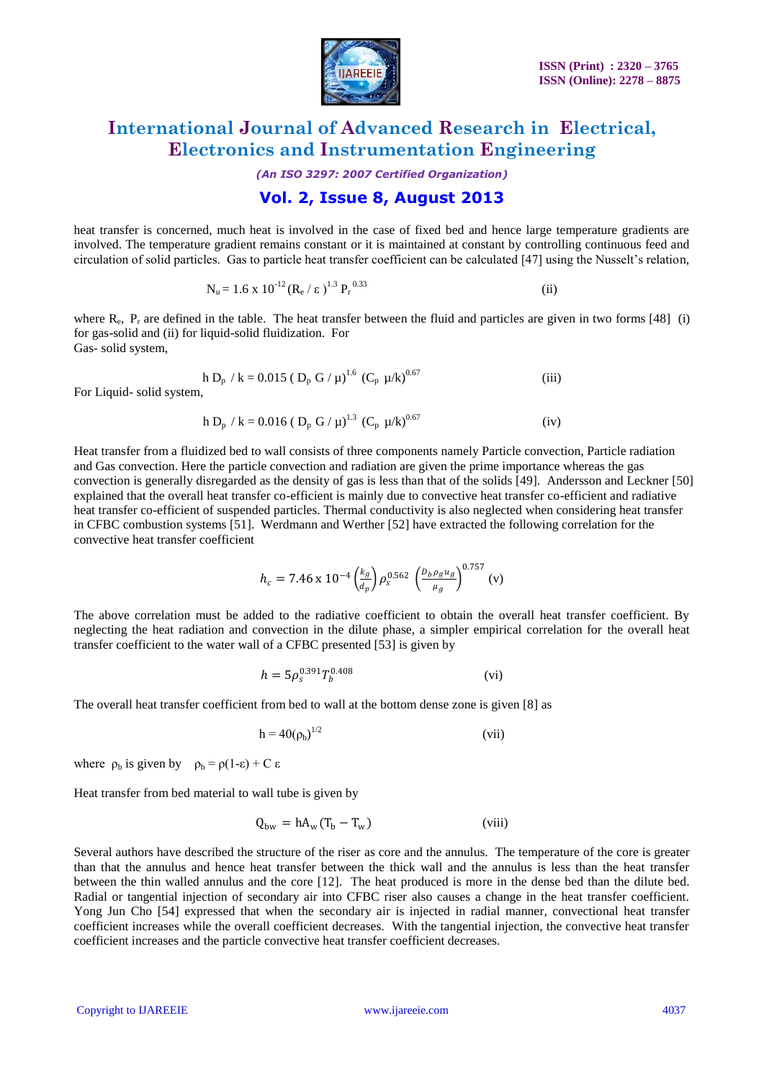

*(An ISO 3297: 2007 Certified Organization)*

### **Vol. 2, Issue 8, August 2013**

heat transfer is concerned, much heat is involved in the case of fixed bed and hence large temperature gradients are involved. The temperature gradient remains constant or it is maintained at constant by controlling continuous feed and circulation of solid particles. Gas to particle heat transfer coefficient can be calculated [47] using the Nusselt"s relation,

$$
N_u = 1.6 \times 10^{-12} (R_e / \epsilon)^{1.3} P_r^{0.33}
$$
 (ii)

where  $R_e$ ,  $P_r$  are defined in the table. The heat transfer between the fluid and particles are given in two forms [48] (i) for gas-solid and (ii) for liquid-solid fluidization. For Gas- solid system,

$$
h D_p / k = 0.015 ( D_p G / \mu)^{1.6} (C_p \mu / k)^{0.67}
$$
 (iii)

For Liquid- solid system,

$$
h D_p / k = 0.016 ( D_p G / \mu)^{1.3} (C_p \mu / k)^{0.67}
$$
 (iv)

Heat transfer from a fluidized bed to wall consists of three components namely Particle convection, Particle radiation and Gas convection. Here the particle convection and radiation are given the prime importance whereas the gas convection is generally disregarded as the density of gas is less than that of the solids [49]. Andersson and Leckner [50] explained that the overall heat transfer co-efficient is mainly due to convective heat transfer co-efficient and radiative heat transfer co-efficient of suspended particles. Thermal conductivity is also neglected when considering heat transfer in CFBC combustion systems [51]. Werdmann and Werther [52] have extracted the following correlation for the convective heat transfer coefficient

$$
h_c = 7.46 \times 10^{-4} \left(\frac{k_g}{a_p}\right) \rho_s^{0.562} \left(\frac{D_b \rho_g u_g}{\mu_g}\right)^{0.757} (v)
$$

The above correlation must be added to the radiative coefficient to obtain the overall heat transfer coefficient. By neglecting the heat radiation and convection in the dilute phase, a simpler empirical correlation for the overall heat transfer coefficient to the water wall of a CFBC presented [53] is given by

$$
h = 5\rho_s^{0.391} T_b^{0.408} \tag{vi}
$$

The overall heat transfer coefficient from bed to wall at the bottom dense zone is given [8] as

$$
h = 40(\rho_b)^{1/2} \tag{vii}
$$

where  $\rho_b$  is given by  $\rho_b = \rho(1-\varepsilon) + C \varepsilon$ 

Heat transfer from bed material to wall tube is given by

$$
Q_{bw} = hA_w(T_b - T_w)
$$
 (viii)

Several authors have described the structure of the riser as core and the annulus. The temperature of the core is greater than that the annulus and hence heat transfer between the thick wall and the annulus is less than the heat transfer between the thin walled annulus and the core [12]. The heat produced is more in the dense bed than the dilute bed. Radial or tangential injection of secondary air into CFBC riser also causes a change in the heat transfer coefficient. Yong Jun Cho [54] expressed that when the secondary air is injected in radial manner, convectional heat transfer coefficient increases while the overall coefficient decreases. With the tangential injection, the convective heat transfer coefficient increases and the particle convective heat transfer coefficient decreases.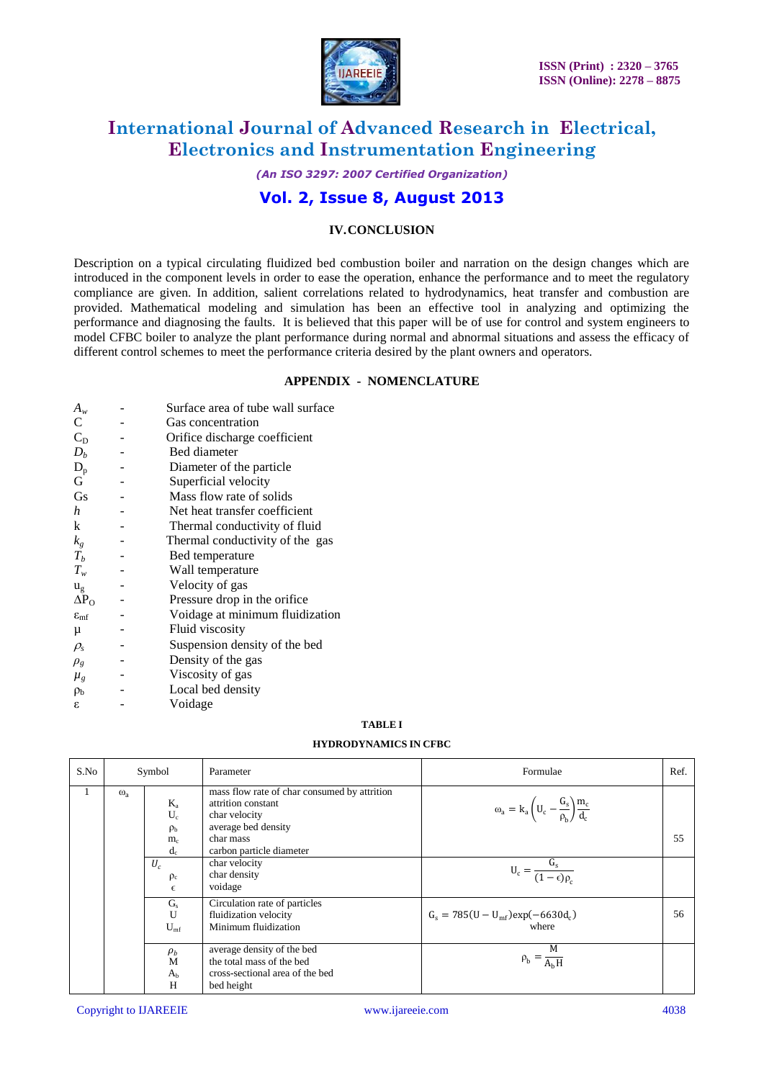

*(An ISO 3297: 2007 Certified Organization)*

### **Vol. 2, Issue 8, August 2013**

#### **IV.CONCLUSION**

Description on a typical circulating fluidized bed combustion boiler and narration on the design changes which are introduced in the component levels in order to ease the operation, enhance the performance and to meet the regulatory compliance are given. In addition, salient correlations related to hydrodynamics, heat transfer and combustion are provided. Mathematical modeling and simulation has been an effective tool in analyzing and optimizing the performance and diagnosing the faults. It is believed that this paper will be of use for control and system engineers to model CFBC boiler to analyze the plant performance during normal and abnormal situations and assess the efficacy of different control schemes to meet the performance criteria desired by the plant owners and operators.

#### **APPENDIX - NOMENCLATURE**

| $A_w$                  | Surface area of tube wall surface |
|------------------------|-----------------------------------|
| C                      | Gas concentration                 |
| $C_D$                  | Orifice discharge coefficient     |
| $D_h$                  | Bed diameter                      |
| $D_p$                  | Diameter of the particle          |
| G                      | Superficial velocity              |
| Gs                     | Mass flow rate of solids          |
| h                      | Net heat transfer coefficient     |
| k                      | Thermal conductivity of fluid     |
| $k_{g}$                | Thermal conductivity of the gas   |
| $T_b$                  | Bed temperature                   |
| $T_{w}$                | Wall temperature                  |
| $u_{\rm g}$            | Velocity of gas                   |
| $\Delta P_{\rm O}$     | Pressure drop in the orifice      |
| $\varepsilon_{\rm mf}$ | Voidage at minimum fluidization   |
| μ                      | Fluid viscosity                   |
| $\rho_{s}$             | Suspension density of the bed     |
| $\rho_g$               | Density of the gas                |
| $\mu_{g}$              | Viscosity of gas                  |
| $\rho_{\rm b}$         | Local bed density                 |
| ε                      | Voidage                           |

### **TABLE I**

#### **HYDRODYNAMICS IN CFBC**

| S.No | Symbol     |                                    | Parameter                                                                                                  | Formulae                                                                 | Ref. |
|------|------------|------------------------------------|------------------------------------------------------------------------------------------------------------|--------------------------------------------------------------------------|------|
|      | $\omega_a$ | $K_a$<br>$U_{c}$<br>$\rho_{\rm b}$ | mass flow rate of char consumed by attrition<br>attrition constant<br>char velocity<br>average bed density | $\omega_a = k_a \left( U_c - \frac{G_s}{\rho_b} \right) \frac{m_c}{d_c}$ |      |
|      |            | m <sub>c</sub><br>$d_c$            | char mass<br>carbon particle diameter                                                                      |                                                                          | 55   |
|      |            | $U_c$<br>$\rho_c$<br>$\epsilon$    | char velocity<br>char density<br>voidage                                                                   | $U_c = \frac{G_s}{(1-\epsilon)\rho_c}$                                   |      |
|      |            | $G_{s}$<br>U<br>$U_{\rm mf}$       | Circulation rate of particles<br>fluidization velocity<br>Minimum fluidization                             | $G_s = 785(U - U_{mf})exp(-6630d_c)$<br>where                            | 56   |
|      |            | $\rho_b$<br>M<br>$A_{b}$<br>H      | average density of the bed<br>the total mass of the bed<br>cross-sectional area of the bed<br>bed height   | M<br>$\rho_b = \frac{1}{A_b H}$                                          |      |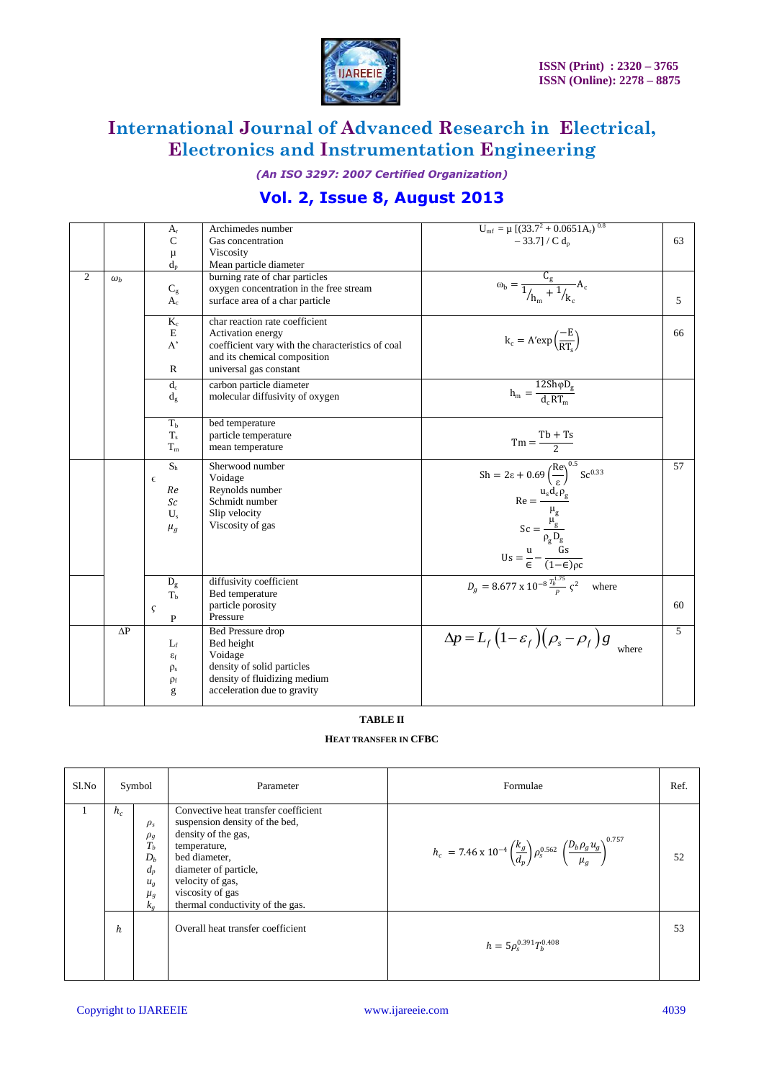

*(An ISO 3297: 2007 Certified Organization)*

# **Vol. 2, Issue 8, August 2013**

|                |            | $A_{r}$<br>$\mathsf{C}$<br>μ<br>$d_{n}$                                 | Archimedes number<br>Gas concentration<br>Viscosity<br>Mean particle diameter                                                                                      | $U_{\text{mf}} = \mu \left[ (33.7^2 + 0.0651 A_r)^{0.8} \right]$<br>$-33.7$ ] / C d <sub>n</sub>                                                                                                                      | 63             |
|----------------|------------|-------------------------------------------------------------------------|--------------------------------------------------------------------------------------------------------------------------------------------------------------------|-----------------------------------------------------------------------------------------------------------------------------------------------------------------------------------------------------------------------|----------------|
| $\overline{2}$ | $\omega_h$ | $C_g$<br>$A_{c}$                                                        | burning rate of char particles<br>oxygen concentration in the free stream<br>surface area of a char particle                                                       | $\omega_{\rm b} = \frac{C_{\rm g}}{1/_{\rm h_m} + 1/_{\rm k_c}} A_{\rm c}$                                                                                                                                            | 5              |
|                |            | $K_c$<br>$\mathbf E$<br>$A^*$<br>$\mathbb{R}$                           | char reaction rate coefficient<br>Activation energy<br>coefficient vary with the characteristics of coal<br>and its chemical composition<br>universal gas constant | $k_c = A' exp\left(\frac{-E}{RT}\right)$                                                                                                                                                                              | 66             |
|                |            | $d_c$<br>$d_e$                                                          | carbon particle diameter<br>molecular diffusivity of oxygen                                                                                                        | $h_m = \frac{12 Sh \varphi D_g}{d_e RT_m}$                                                                                                                                                                            |                |
|                |            | T <sub>b</sub><br>$T_{s}$<br>$T_m$                                      | bed temperature<br>particle temperature<br>mean temperature                                                                                                        | $Tm = \frac{Tb + Ts}{2}$                                                                                                                                                                                              |                |
|                |            | $\mathbf{S}_\mathrm{h}$<br>$\epsilon$<br>Re<br>Sc<br>$U_{s}$<br>$\mu_g$ | Sherwood number<br>Voidage<br>Reynolds number<br>Schmidt number<br>Slip velocity<br>Viscosity of gas                                                               | $Sh = 2\varepsilon + 0.69 \left(\frac{Re}{\varepsilon}\right)^{0.5} Sc^{0.33}$<br>Re = $\frac{u_s d_c \rho_g}{\mu_g}$<br>Sc = $\frac{\mu_g}{\rho_g D_g}$<br>Us = $\frac{u}{\epsilon} - \frac{Gs}{(1-\epsilon)\rho c}$ | 57             |
|                |            | $D_g$<br>T <sub>b</sub>                                                 | diffusivity coefficient<br>Bed temperature                                                                                                                         | $D_g = 8.677 \times 10^{-8} \frac{T_b^{1.75}}{R} \sqrt{2}}$<br>where                                                                                                                                                  |                |
|                |            | ς<br>$\mathbf{P}$                                                       | particle porosity<br>Pressure                                                                                                                                      |                                                                                                                                                                                                                       | 60             |
|                | $\Delta P$ | $L_f$<br>$\epsilon_{\rm f}$<br>$\rho_s$<br>$\rho_f$<br>g                | Bed Pressure drop<br>Bed height<br>Voidage<br>density of solid particles<br>density of fluidizing medium<br>acceleration due to gravity                            | $\Delta p = L_f \left(1 - \varepsilon_f \right) \left(\rho_s - \rho_f \right) g$                                                                                                                                      | $\mathfrak{F}$ |

#### **TABLE II**

### **HEAT TRANSFER IN CFBC**

| Sl.No | Symbol |                                                                                        | Parameter                                                                                                                                                                                                                           | Formulae                                                                                                                  | Ref. |
|-------|--------|----------------------------------------------------------------------------------------|-------------------------------------------------------------------------------------------------------------------------------------------------------------------------------------------------------------------------------------|---------------------------------------------------------------------------------------------------------------------------|------|
|       | $h_c$  | $\rho_s$<br>$\rho_{\rm g}$<br>$T_h$<br>$D_h$<br>$d_p$<br>$u_{g}$<br>$\mu_{g}$<br>$k_g$ | Convective heat transfer coefficient<br>suspension density of the bed,<br>density of the gas,<br>temperature,<br>bed diameter,<br>diameter of particle,<br>velocity of gas,<br>viscosity of gas<br>thermal conductivity of the gas. | $h_c = 7.46 \times 10^{-4} \left(\frac{k_g}{d_p}\right) \rho_s^{0.562} \left(\frac{D_b \rho_g u_g}{\mu_a}\right)^{0.757}$ | 52   |
|       | h      |                                                                                        | Overall heat transfer coefficient                                                                                                                                                                                                   | $h = 5 \rho_s^{0.391} T_h^{0.408}$                                                                                        | 53   |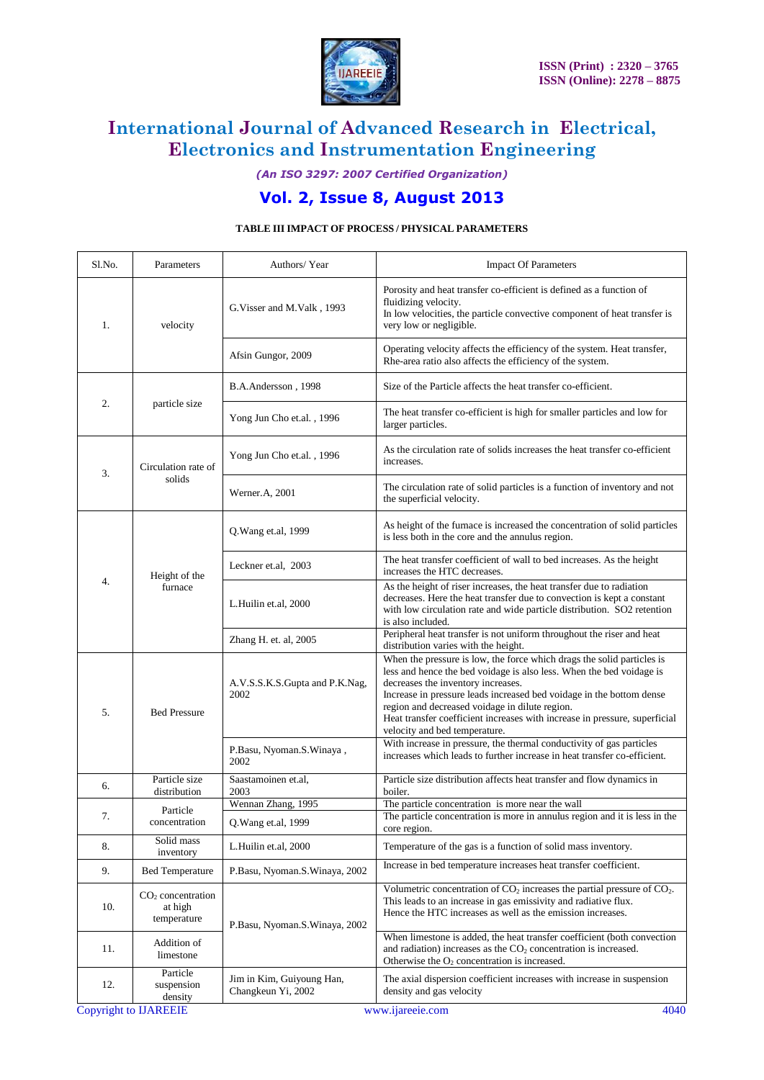

*(An ISO 3297: 2007 Certified Organization)*

# **Vol. 2, Issue 8, August 2013**

### **TABLE III IMPACT OF PROCESS / PHYSICAL PARAMETERS**

| Sl.No. | Parameters                                               | Authors/Year                                    | <b>Impact Of Parameters</b>                                                                                                                                                                                                                                                                                                                                                                                                   |  |
|--------|----------------------------------------------------------|-------------------------------------------------|-------------------------------------------------------------------------------------------------------------------------------------------------------------------------------------------------------------------------------------------------------------------------------------------------------------------------------------------------------------------------------------------------------------------------------|--|
| 1.     | velocity                                                 | G. Visser and M. Valk, 1993                     | Porosity and heat transfer co-efficient is defined as a function of<br>fluidizing velocity.<br>In low velocities, the particle convective component of heat transfer is<br>very low or negligible.                                                                                                                                                                                                                            |  |
|        |                                                          | Afsin Gungor, 2009                              | Operating velocity affects the efficiency of the system. Heat transfer,<br>Rhe-area ratio also affects the efficiency of the system.                                                                                                                                                                                                                                                                                          |  |
|        | particle size                                            | B.A.Andersson, 1998                             | Size of the Particle affects the heat transfer co-efficient.                                                                                                                                                                                                                                                                                                                                                                  |  |
| 2.     |                                                          | Yong Jun Cho et.al., 1996                       | The heat transfer co-efficient is high for smaller particles and low for<br>larger particles.                                                                                                                                                                                                                                                                                                                                 |  |
| 3.     | Circulation rate of<br>solids                            | Yong Jun Cho et.al., 1996                       | As the circulation rate of solids increases the heat transfer co-efficient<br>increases.                                                                                                                                                                                                                                                                                                                                      |  |
|        |                                                          | Werner.A, 2001                                  | The circulation rate of solid particles is a function of inventory and not<br>the superficial velocity.                                                                                                                                                                                                                                                                                                                       |  |
|        | Height of the<br>furnace                                 | Q. Wang et.al, 1999                             | As height of the furnace is increased the concentration of solid particles<br>is less both in the core and the annulus region.                                                                                                                                                                                                                                                                                                |  |
|        |                                                          | Leckner et.al, 2003                             | The heat transfer coefficient of wall to bed increases. As the height<br>increases the HTC decreases.                                                                                                                                                                                                                                                                                                                         |  |
| 4.     |                                                          | L.Huilin et.al, 2000                            | As the height of riser increases, the heat transfer due to radiation<br>decreases. Here the heat transfer due to convection is kept a constant<br>with low circulation rate and wide particle distribution. SO2 retention<br>is also included.                                                                                                                                                                                |  |
|        |                                                          | Zhang H. et. al, 2005                           | Peripheral heat transfer is not uniform throughout the riser and heat<br>distribution varies with the height.                                                                                                                                                                                                                                                                                                                 |  |
| 5.     | <b>Bed Pressure</b>                                      | A.V.S.S.K.S.Gupta and P.K.Nag,<br>2002          | When the pressure is low, the force which drags the solid particles is<br>less and hence the bed voidage is also less. When the bed voidage is<br>decreases the inventory increases.<br>Increase in pressure leads increased bed voidage in the bottom dense<br>region and decreased voidage in dilute region.<br>Heat transfer coefficient increases with increase in pressure, superficial<br>velocity and bed temperature. |  |
|        |                                                          | P.Basu, Nyoman.S.Winaya,<br>2002                | With increase in pressure, the thermal conductivity of gas particles<br>increases which leads to further increase in heat transfer co-efficient.                                                                                                                                                                                                                                                                              |  |
| 6.     | Particle size<br>distribution                            | Saastamoinen et.al,<br>2003                     | Particle size distribution affects heat transfer and flow dynamics in<br>boiler.                                                                                                                                                                                                                                                                                                                                              |  |
| 7.     | Particle<br>concentration                                | Wennan Zhang, 1995<br>Q. Wang et.al, 1999       | The particle concentration is more near the wall<br>The particle concentration is more in annulus region and it is less in the                                                                                                                                                                                                                                                                                                |  |
| 8.     | Solid mass                                               | L.Huilin et.al, 2000                            | core region.<br>Temperature of the gas is a function of solid mass inventory.                                                                                                                                                                                                                                                                                                                                                 |  |
| 9.     | inventory<br><b>Bed Temperature</b>                      | P.Basu, Nyoman.S.Winaya, 2002                   | Increase in bed temperature increases heat transfer coefficient.                                                                                                                                                                                                                                                                                                                                                              |  |
| 10.    | CO <sub>2</sub> concentration<br>at high<br>temperature  | P.Basu, Nyoman.S.Winaya, 2002                   | Volumetric concentration of $CO2$ increases the partial pressure of $CO2$ .<br>This leads to an increase in gas emissivity and radiative flux.<br>Hence the HTC increases as well as the emission increases.                                                                                                                                                                                                                  |  |
| 11.    | Addition of<br>limestone                                 |                                                 | When limestone is added, the heat transfer coefficient (both convection<br>and radiation) increases as the $CO2$ concentration is increased.<br>Otherwise the $O_2$ concentration is increased.                                                                                                                                                                                                                               |  |
| 12.    | Particle<br>suspension<br>density                        | Jim in Kim, Guiyoung Han,<br>Changkeun Yi, 2002 | The axial dispersion coefficient increases with increase in suspension<br>density and gas velocity                                                                                                                                                                                                                                                                                                                            |  |
|        | <b>Copyright to IJAREEIE</b><br>4040<br>www.ijareeje.com |                                                 |                                                                                                                                                                                                                                                                                                                                                                                                                               |  |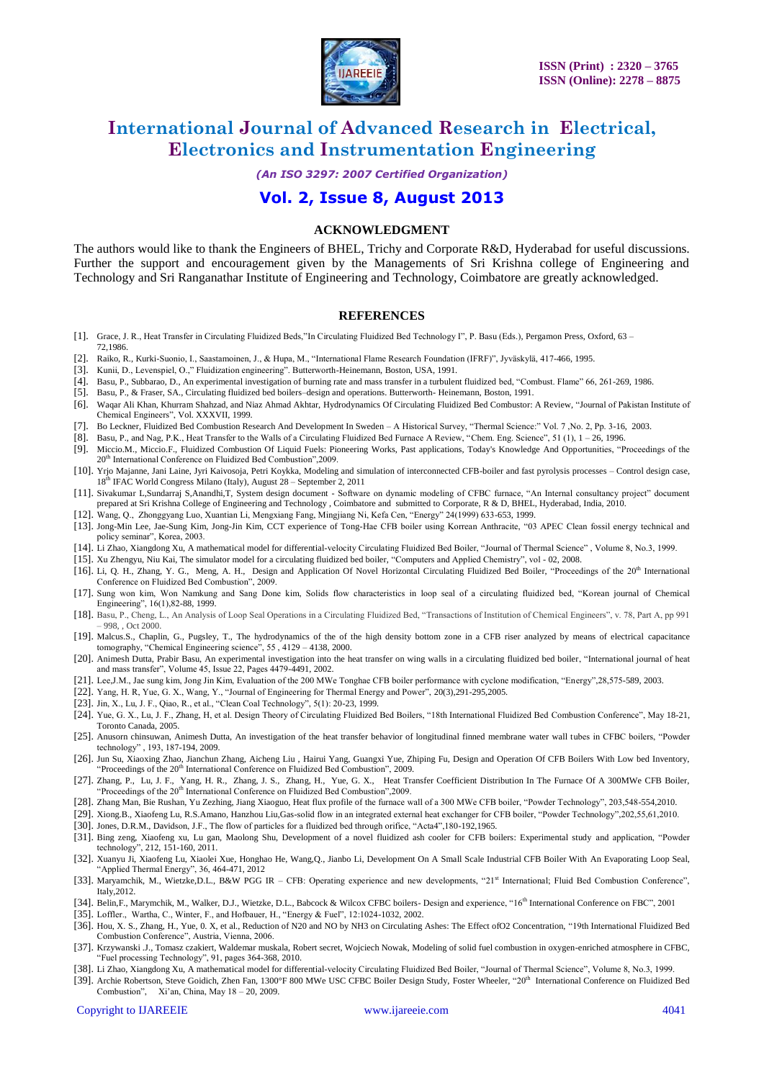

*(An ISO 3297: 2007 Certified Organization)*

### **Vol. 2, Issue 8, August 2013**

#### **ACKNOWLEDGMENT**

The authors would like to thank the Engineers of BHEL, Trichy and Corporate R&D, Hyderabad for useful discussions. Further the support and encouragement given by the Managements of Sri Krishna college of Engineering and Technology and Sri Ranganathar Institute of Engineering and Technology, Coimbatore are greatly acknowledged.

#### **REFERENCES**

- [1]. Grace, J. R., Heat Transfer in Circulating Fluidized Beds,"In Circulating Fluidized Bed Technology I", P. Basu (Eds.), Pergamon Press, Oxford, 63 72,1986.
- [2]. Raiko, R., Kurki-Suonio, I., Saastamoinen, J., & Hupa, M., "International Flame Research Foundation (IFRF)", Jyväskylä, 417-466, 1995.
- [3]. Kunii, D., Levenspiel, O.," Fluidization engineering". Butterworth-Heinemann, Boston, USA, 1991.
- [4]. Basu, P., Subbarao, D., An experimental investigation of burning rate and mass transfer in a turbulent fluidized bed, "Combust. Flame" 66, 261-269, 1986.
- [5]. Basu, P., & Fraser, SA., Circulating fluidized bed boilers–design and operations. Butterworth- Heinemann, Boston, 1991.
- [6]. Waqar Ali Khan, Khurram Shahzad, and Niaz Ahmad Akhtar, Hydrodynamics Of Circulating Fluidized Bed Combustor: A Review, "Journal of Pakistan Institute of Chemical Engineers", Vol. XXXVII, 1999.
- [7]. Bo Leckner, Fluidized Bed Combustion Research And Development In Sweden A Historical Survey, "Thermal Science:" Vol. 7 ,No. 2, Pp. 3-16, 2003.
- [8]. Basu, P., and Nag, P.K., Heat Transfer to the Walls of a Circulating Fluidized Bed Furnace A Review, "Chem. Eng. Science", 51 (1), 1 26, 1996.
- [9]. Miccio.M., Miccio.F., Fluidized Combustion Of Liquid Fuels: Pioneering Works, Past applications, Today's Knowledge And Opportunities, "Proceedings of the 20<sup>th</sup> International Conference on Fluidized Bed Combustion", 2009.
- [10]. Yrjo Majanne, Jani Laine, Jyri Kaivosoja, Petri Koykka, Modeling and simulation of interconnected CFB-boiler and fast pyrolysis processes Control design case, 18th IFAC World Congress Milano (Italy), August 28 – September 2, 2011
- [11]. Sivakumar L,Sundarraj S,Anandhi,T, System design document Software on dynamic modeling of CFBC furnace, "An Internal consultancy project" document prepared at Sri Krishna College of Engineering and Technology , Coimbatore and submitted to Corporate, R & D, BHEL, Hyderabad, India, 2010.
- [12]. Wang, Q., Zhonggyang Luo, Xuantian Li, Mengxiang Fang, Mingjiang Ni, Kefa Cen, "Energy" 24(1999) 633-653, 1999.
- [13]. Jong-Min Lee, Jae-Sung Kim, Jong-Jin Kim, CCT experience of Tong-Hae CFB boiler using Korrean Anthracite, "03 APEC Clean fossil energy technical and policy seminar", Korea, 2003.
- [14]. Li Zhao, Xiangdong Xu, A mathematical model for differential-velocity Circulating Fluidized Bed Boiler, "Journal of Thermal Science" , Volume 8, No.3, 1999.
- [15]. Xu Zhengyu, Niu Kai, The simulator model for a circulating fluidized bed boiler, "Computers and Applied Chemistry", vol 02, 2008.
- [16]. Li, Q. H., Zhang, Y. G., Meng, A. H., Design and Application Of Novel Horizontal Circulating Fluidized Bed Boiler, "Proceedings of the 20<sup>th</sup> International Conference on Fluidized Bed Combustion", 2009.
- [17]. Sung won kim, Won Namkung and Sang Done kim, Solids flow characteristics in loop seal of a circulating fluidized bed, "Korean journal of Chemical Engineering", 16(1),82-88, 1999.
- [18]. Basu, P., Cheng, L., An Analysis of Loop Seal Operations in a Circulating Fluidized Bed, "Transactions of Institution of Chemical Engineers", v. 78, Part A, pp 991 – 998, , Oct 2000.
- [19]. Malcus.S., Chaplin, G., Pugsley, T., The hydrodynamics of the of the high density bottom zone in a CFB riser analyzed by means of electrical capacitance tomography, "Chemical Engineering science", 55 , 4129 – 4138, 2000.
- [20]. Animesh Dutta, Prabir Basu[, An experimental investigation into the heat transfer on wing walls in a circulating fluidized bed boiler,](http://www.sciencedirect.com/science/article/pii/S0017931002001485) "International journal of heat and mass transfer", Volume 45, Issue 22, Pages 4479-4491, 2002.
- [21]. Lee,J.M., Jae sung kim, Jong Jin Kim, Evaluation of the 200 MWe Tonghae CFB boiler performance with cyclone modification, "Energy",28,575-589, 2003.
- [22]. Yang, H. R, Yue, G. X., Wang, Y., "Journal of Engineering for Thermal Energy and Power", 20(3),291-295,2005.
- [23]. Jin, X., Lu, J. F., Qiao, R., et al., "Clean Coal Technology", 5(1): 20-23, 1999.
- [24]. Yue, G. X., Lu, J. F., Zhang, H, et al. Design Theory of Circulating Fluidized Bed Boilers, "18th International Fluidized Bed Combustion Conference", May 18-21, Toronto Canada, 2005.
- [25]. Anusorn chinsuwan, Animesh Dutta, An investigation of the heat transfer behavior of longitudinal finned membrane water wall tubes in CFBC boilers, "Powder technology" , 193, 187-194, 2009.
- [26]. Jun Su, Xiaoxing Zhao, Jianchun Zhang, Aicheng Liu , Hairui Yang, Guangxi Yue, Zhiping Fu, Design and Operation Of CFB Boilers With Low bed Inventory, "Proceedings of the 20<sup>th</sup> International Conference on Fluidized Bed Combustion", 2009.
- [27]. Zhang, P., Lu, J. F., Yang, H. R., Zhang, J. S., Zhang, H., Yue, G. X., Heat Transfer Coefficient Distribution In The Furnace Of A 300MWe CFB Boiler, "Proceedings of the 20<sup>th</sup> International Conference on Fluidized Bed Combustion", 2009.
- [28]. Zhang Man, Bie Rushan, Yu Zezhing, Jiang Xiaoguo, Heat flux profile of the furnace wall of a 300 MWe CFB boiler, "Powder Technology", 203,548-554,2010.
- [29]. Xiong.B., Xiaofeng Lu, R.S.Amano, Hanzhou Liu,Gas-solid flow in an integrated external heat exchanger for CFB boiler, "Powder Technology",202,55,61,2010.
- [30]. Jones, D.R.M., Davidson, J.F., The flow of particles for a fluidized bed through orifice, "Acta4",180-192,1965.
- [31]. Bing zeng, Xiaofeng xu, Lu gan, Maolong Shu, Development of a novel fluidized ash cooler for CFB boilers: Experimental study and application, "Powder technology", 212, 151-160, 2011.
- [32]. Xuanyu Ji, Xiaofeng Lu, Xiaolei Xue, Honghao He, Wang,Q., Jianbo Li, Development On A Small Scale Industrial CFB Boiler With An Evaporating Loop Seal, "Applied Thermal Energy", 36, 464-471, 2012
- [33]. Maryamchik, M., Wietzke,D.L., B&W PGG IR CFB: Operating experience and new developments, "21<sup>st</sup> International; Fluid Bed Combustion Conference", Italy,2012.
- [34]. Belin,F., Marymchik, M., Walker, D.J., Wietzke, D.L., Babcock & Wilcox CFBC boilers- Design and experience, "16<sup>th</sup> International Conference on FBC", 2001
- [35]. Loffler., Wartha, C., Winter, F., and Hofbauer, H., "Energy & Fuel", 12:1024-1032, 2002.
- [36]. Hou, X. S., Zhang, H., Yue, 0. X, et al., Reduction of N20 and NO by NH3 on Circulating Ashes: The Effect ofO2 Concentration, "19th International Fluidized Bed Combustion Conference", Austria, Vienna, 2006.
- [37]. Krzywanski .J., Tomasz czakiert, Waldemar muskala, Robert secret, Wojciech Nowak, Modeling of solid fuel combustion in oxygen-enriched atmosphere in CFBC, "Fuel processing Technology", 91, pages 364-368, 2010.
- [38]. Li Zhao, Xiangdong Xu, A mathematical model for differential-velocity Circulating Fluidized Bed Boiler, "Journal of Thermal Science", Volume 8, No.3, 1999.
- [39]. Archie Robertson, Steve Goidich, Zhen Fan, 1300°F 800 MWe USC CFBC Boiler Design Study, Foster Wheeler, "20<sup>th</sup> International Conference on Fluidized Bed Combustion", Xi"an, China, May 18 – 20, 2009.